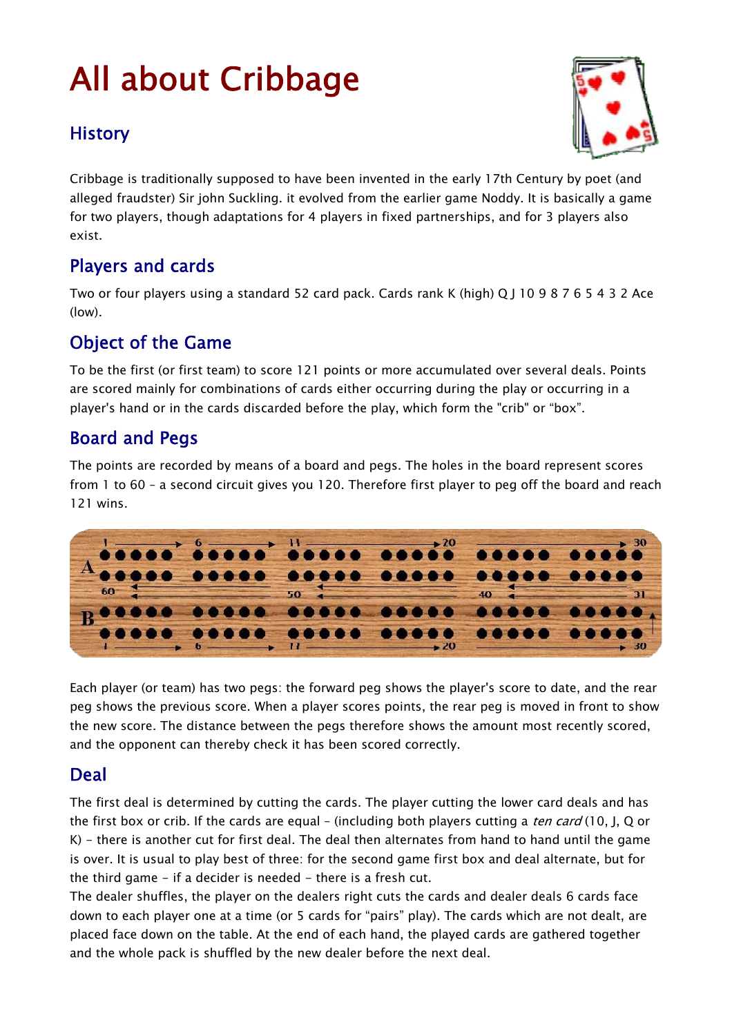# All about Cribbage

## **History**



Cribbage is traditionally supposed to have been invented in the early 17th Century by poet (and alleged fraudster) Sir john Suckling. it evolved from the earlier game Noddy. It is basically a game for two players, though adaptations for 4 players in fixed partnerships, and for 3 players also exist.

# Players and cards

Two or four players using a standard 52 card pack. Cards rank K (high) Q J 10 9 8 7 6 5 4 3 2 Ace (low).

# Object of the Game

To be the first (or first team) to score 121 points or more accumulated over several deals. Points are scored mainly for combinations of cards either occurring during the play or occurring in a player's hand or in the cards discarded before the play, which form the "crib" or "box".

## Board and Pegs

The points are recorded by means of a board and pegs. The holes in the board represent scores from 1 to 60 – a second circuit gives you 120. Therefore first player to peg off the board and reach 121 wins.



Each player (or team) has two pegs: the forward peg shows the player's score to date, and the rear peg shows the previous score. When a player scores points, the rear peg is moved in front to show the new score. The distance between the pegs therefore shows the amount most recently scored, and the opponent can thereby check it has been scored correctly.

#### Deal

The first deal is determined by cutting the cards. The player cutting the lower card deals and has the first box or crib. If the cards are equal – (including both players cutting a *ten card* (10, J, Q or K) - there is another cut for first deal. The deal then alternates from hand to hand until the game is over. It is usual to play best of three: for the second game first box and deal alternate, but for the third game - if a decider is needed - there is a fresh cut.

The dealer shuffles, the player on the dealers right cuts the cards and dealer deals 6 cards face down to each player one at a time (or 5 cards for "pairs" play). The cards which are not dealt, are placed face down on the table. At the end of each hand, the played cards are gathered together and the whole pack is shuffled by the new dealer before the next deal.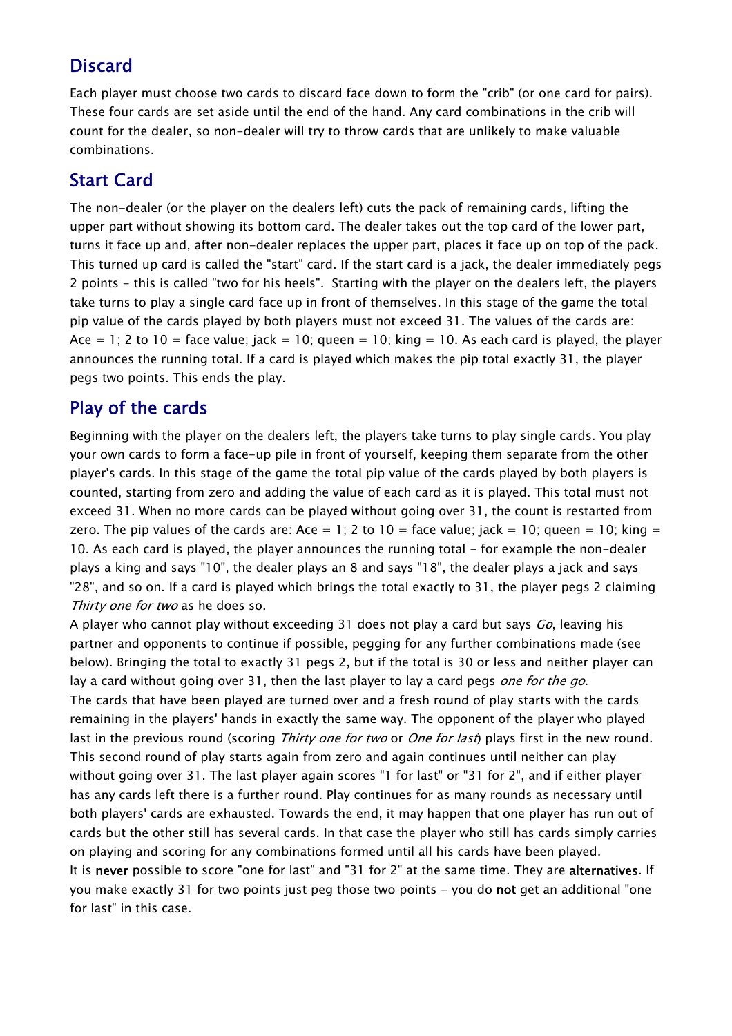# Discard

Each player must choose two cards to discard face down to form the "crib" (or one card for pairs). These four cards are set aside until the end of the hand. Any card combinations in the crib will count for the dealer, so non-dealer will try to throw cards that are unlikely to make valuable combinations.

# Start Card

The non-dealer (or the player on the dealers left) cuts the pack of remaining cards, lifting the upper part without showing its bottom card. The dealer takes out the top card of the lower part, turns it face up and, after non-dealer replaces the upper part, places it face up on top of the pack. This turned up card is called the "start" card. If the start card is a jack, the dealer immediately pegs 2 points - this is called "two for his heels". Starting with the player on the dealers left, the players take turns to play a single card face up in front of themselves. In this stage of the game the total pip value of the cards played by both players must not exceed 31. The values of the cards are: Ace  $= 1$ ; 2 to 10 = face value; jack  $= 10$ ; queen  $= 10$ ; king  $= 10$ . As each card is played, the player announces the running total. If a card is played which makes the pip total exactly 31, the player pegs two points. This ends the play.

## Play of the cards

Beginning with the player on the dealers left, the players take turns to play single cards. You play your own cards to form a face-up pile in front of yourself, keeping them separate from the other player's cards. In this stage of the game the total pip value of the cards played by both players is counted, starting from zero and adding the value of each card as it is played. This total must not exceed 31. When no more cards can be played without going over 31, the count is restarted from zero. The pip values of the cards are: Ace = 1; 2 to  $10 =$  face value; jack = 10; queen = 10; king = 10. As each card is played, the player announces the running total - for example the non-dealer plays a king and says "10", the dealer plays an 8 and says "18", the dealer plays a jack and says "28", and so on. If a card is played which brings the total exactly to 31, the player pegs 2 claiming Thirty one for two as he does so.

A player who cannot play without exceeding 31 does not play a card but says *Go*, leaving his partner and opponents to continue if possible, pegging for any further combinations made (see below). Bringing the total to exactly 31 pegs 2, but if the total is 30 or less and neither player can lay a card without going over 31, then the last player to lay a card pegs one for the go. The cards that have been played are turned over and a fresh round of play starts with the cards remaining in the players' hands in exactly the same way. The opponent of the player who played last in the previous round (scoring Thirty one for two or One for last) plays first in the new round. This second round of play starts again from zero and again continues until neither can play without going over 31. The last player again scores "1 for last" or "31 for 2", and if either player has any cards left there is a further round. Play continues for as many rounds as necessary until both players' cards are exhausted. Towards the end, it may happen that one player has run out of cards but the other still has several cards. In that case the player who still has cards simply carries on playing and scoring for any combinations formed until all his cards have been played. It is never possible to score "one for last" and "31 for 2" at the same time. They are alternatives. If you make exactly 31 for two points just peg those two points - you do not get an additional "one for last" in this case.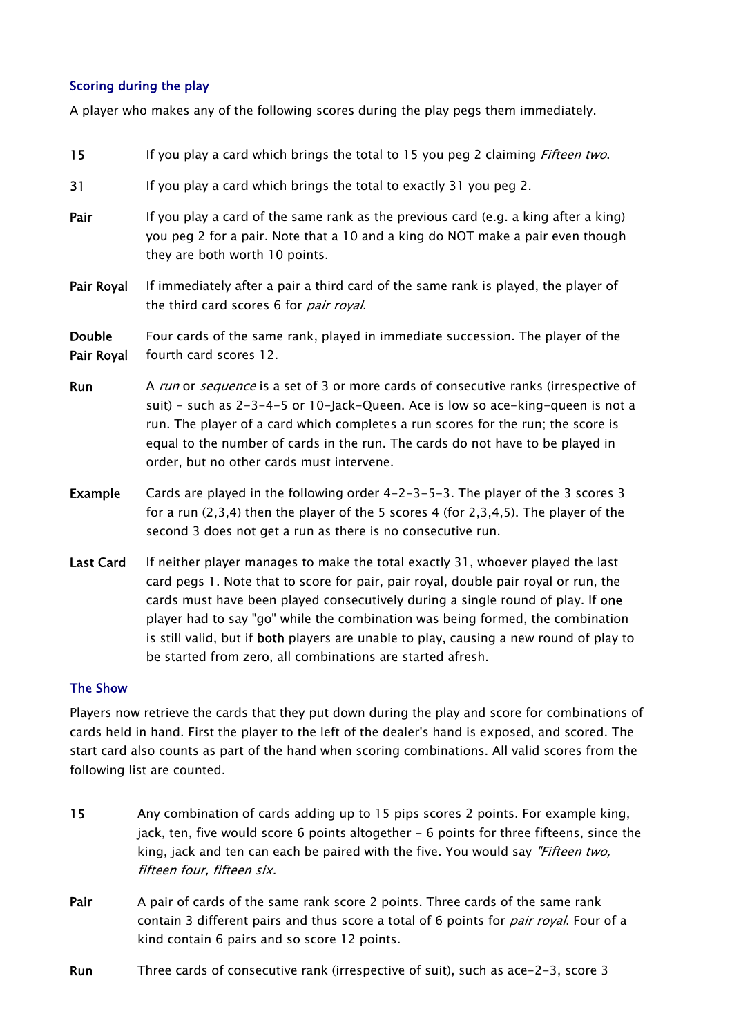#### Scoring during the play

A player who makes any of the following scores during the play pegs them immediately.

| 15                          | If you play a card which brings the total to 15 you peg 2 claiming <i>Fifteen two</i> .                                                                                                                                                                                                                                                                                                                                                                                                             |  |  |  |
|-----------------------------|-----------------------------------------------------------------------------------------------------------------------------------------------------------------------------------------------------------------------------------------------------------------------------------------------------------------------------------------------------------------------------------------------------------------------------------------------------------------------------------------------------|--|--|--|
| 31                          | If you play a card which brings the total to exactly 31 you peg 2.                                                                                                                                                                                                                                                                                                                                                                                                                                  |  |  |  |
| Pair                        | If you play a card of the same rank as the previous card (e.g. a king after a king)<br>you peg 2 for a pair. Note that a 10 and a king do NOT make a pair even though<br>they are both worth 10 points.                                                                                                                                                                                                                                                                                             |  |  |  |
| Pair Royal                  | If immediately after a pair a third card of the same rank is played, the player of<br>the third card scores 6 for <i>pair royal</i> .                                                                                                                                                                                                                                                                                                                                                               |  |  |  |
| <b>Double</b><br>Pair Royal | Four cards of the same rank, played in immediate succession. The player of the<br>fourth card scores 12.                                                                                                                                                                                                                                                                                                                                                                                            |  |  |  |
| Run                         | A run or sequence is a set of 3 or more cards of consecutive ranks (irrespective of<br>suit) - such as 2-3-4-5 or 10-Jack-Queen. Ace is low so ace-king-queen is not a<br>run. The player of a card which completes a run scores for the run; the score is<br>equal to the number of cards in the run. The cards do not have to be played in<br>order, but no other cards must intervene.                                                                                                           |  |  |  |
| <b>Example</b>              | Cards are played in the following order 4-2-3-5-3. The player of the 3 scores 3<br>for a run $(2,3,4)$ then the player of the 5 scores 4 (for $2,3,4,5$ ). The player of the<br>second 3 does not get a run as there is no consecutive run.                                                                                                                                                                                                                                                         |  |  |  |
| <b>Last Card</b>            | If neither player manages to make the total exactly 31, whoever played the last<br>card pegs 1. Note that to score for pair, pair royal, double pair royal or run, the<br>cards must have been played consecutively during a single round of play. If one<br>player had to say "go" while the combination was being formed, the combination<br>is still valid, but if both players are unable to play, causing a new round of play to<br>be started from zero, all combinations are started afresh. |  |  |  |
| <b>The Show</b>             |                                                                                                                                                                                                                                                                                                                                                                                                                                                                                                     |  |  |  |

Players now retrieve the cards that they put down during the play and score for combinations of cards held in hand. First the player to the left of the dealer's hand is exposed, and scored. The start card also counts as part of the hand when scoring combinations. All valid scores from the following list are counted.

- 15 Any combination of cards adding up to 15 pips scores 2 points. For example king, jack, ten, five would score 6 points altogether - 6 points for three fifteens, since the king, jack and ten can each be paired with the five. You would say "Fifteen two, fifteen four, fifteen six.
- Pair A pair of cards of the same rank score 2 points. Three cards of the same rank contain 3 different pairs and thus score a total of 6 points for *pair royal*. Four of a kind contain 6 pairs and so score 12 points.
- Run Three cards of consecutive rank (irrespective of suit), such as ace-2-3, score 3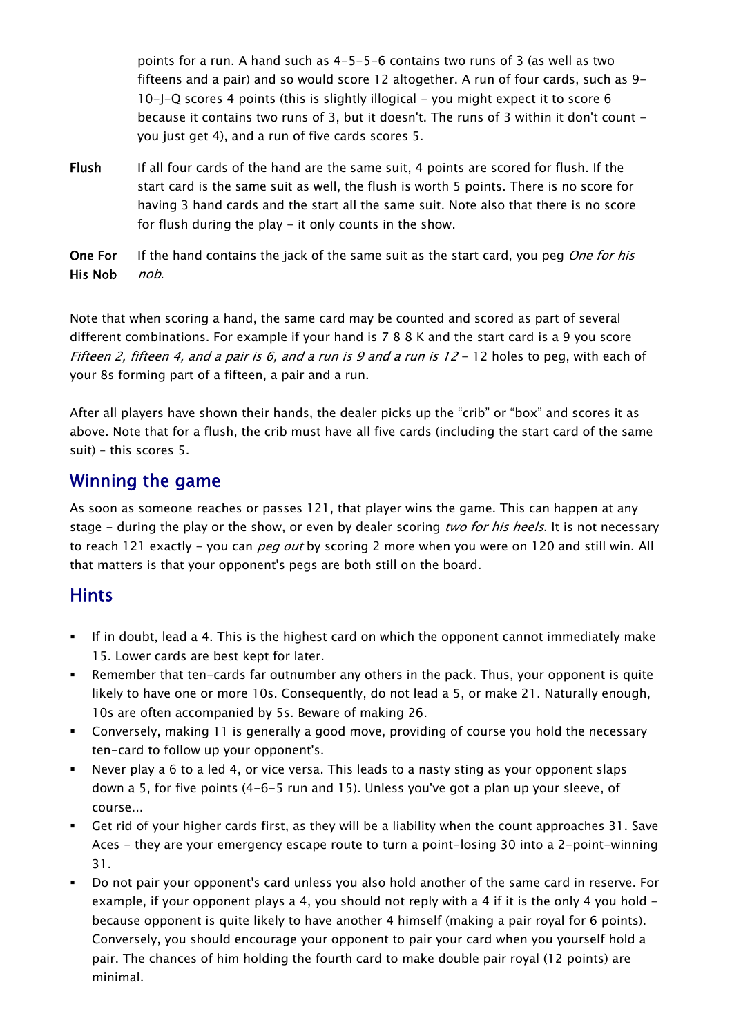points for a run. A hand such as 4-5-5-6 contains two runs of 3 (as well as two fifteens and a pair) and so would score 12 altogether. A run of four cards, such as 9- 10-J-Q scores 4 points (this is slightly illogical - you might expect it to score 6 because it contains two runs of 3, but it doesn't. The runs of 3 within it don't count you just get 4), and a run of five cards scores 5.

- Flush If all four cards of the hand are the same suit, 4 points are scored for flush. If the start card is the same suit as well, the flush is worth 5 points. There is no score for having 3 hand cards and the start all the same suit. Note also that there is no score for flush during the play - it only counts in the show.
- One For His Nob If the hand contains the jack of the same suit as the start card, you peg One for his nob.

Note that when scoring a hand, the same card may be counted and scored as part of several different combinations. For example if your hand is 7 8 8 K and the start card is a 9 you score Fifteen 2, fifteen 4, and a pair is 6, and a run is 9 and a run is  $12 - 12$  holes to peg, with each of your 8s forming part of a fifteen, a pair and a run.

After all players have shown their hands, the dealer picks up the "crib" or "box" and scores it as above. Note that for a flush, the crib must have all five cards (including the start card of the same suit) – this scores 5.

## Winning the game

As soon as someone reaches or passes 121, that player wins the game. This can happen at any stage - during the play or the show, or even by dealer scoring two for his heels. It is not necessary to reach 121 exactly - you can *peg out* by scoring 2 more when you were on 120 and still win. All that matters is that your opponent's pegs are both still on the board.

# **Hints**

- If in doubt, lead a 4. This is the highest card on which the opponent cannot immediately make 15. Lower cards are best kept for later.
- Remember that ten-cards far outnumber any others in the pack. Thus, your opponent is quite likely to have one or more 10s. Consequently, do not lead a 5, or make 21. Naturally enough, 10s are often accompanied by 5s. Beware of making 26.
- Conversely, making 11 is generally a good move, providing of course you hold the necessary ten-card to follow up your opponent's.
- Never play a 6 to a led 4, or vice versa. This leads to a nasty sting as your opponent slaps down a 5, for five points (4-6-5 run and 15). Unless you've got a plan up your sleeve, of course...
- Get rid of your higher cards first, as they will be a liability when the count approaches 31. Save Aces - they are your emergency escape route to turn a point-losing 30 into a 2-point-winning 31.
- Do not pair your opponent's card unless you also hold another of the same card in reserve. For example, if your opponent plays a 4, you should not reply with a 4 if it is the only 4 you hold  $$ because opponent is quite likely to have another 4 himself (making a pair royal for 6 points). Conversely, you should encourage your opponent to pair your card when you yourself hold a pair. The chances of him holding the fourth card to make double pair royal (12 points) are minimal.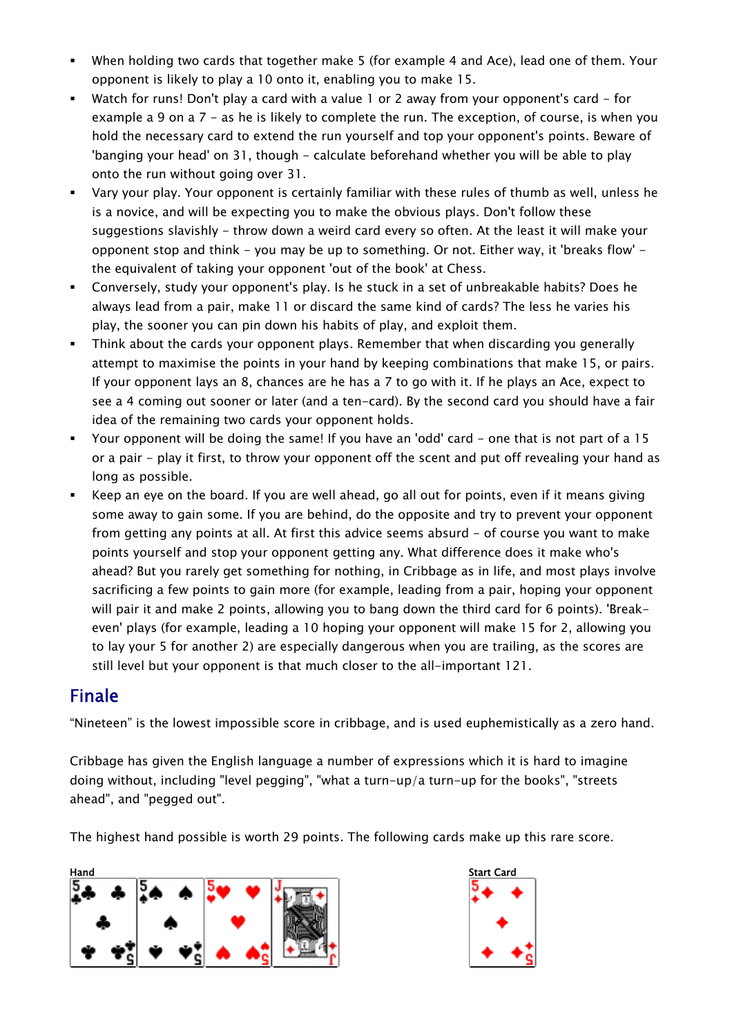- When holding two cards that together make 5 (for example 4 and Ace), lead one of them. Your opponent is likely to play a 10 onto it, enabling you to make 15.
- Watch for runs! Don't play a card with a value 1 or 2 away from your opponent's card for example a 9 on a 7 - as he is likely to complete the run. The exception, of course, is when you hold the necessary card to extend the run yourself and top your opponent's points. Beware of 'banging your head' on 31, though - calculate beforehand whether you will be able to play onto the run without going over 31.
- Vary your play. Your opponent is certainly familiar with these rules of thumb as well, unless he is a novice, and will be expecting you to make the obvious plays. Don't follow these suggestions slavishly - throw down a weird card every so often. At the least it will make your opponent stop and think - you may be up to something. Or not. Either way, it 'breaks flow' the equivalent of taking your opponent 'out of the book' at Chess.
- Conversely, study your opponent's play. Is he stuck in a set of unbreakable habits? Does he always lead from a pair, make 11 or discard the same kind of cards? The less he varies his play, the sooner you can pin down his habits of play, and exploit them.
- Think about the cards your opponent plays. Remember that when discarding you generally attempt to maximise the points in your hand by keeping combinations that make 15, or pairs. If your opponent lays an 8, chances are he has a 7 to go with it. If he plays an Ace, expect to see a 4 coming out sooner or later (and a ten-card). By the second card you should have a fair idea of the remaining two cards your opponent holds.
- Your opponent will be doing the same! If you have an 'odd' card one that is not part of a 15 or a pair - play it first, to throw your opponent off the scent and put off revealing your hand as long as possible.
- Keep an eye on the board. If you are well ahead, go all out for points, even if it means giving some away to gain some. If you are behind, do the opposite and try to prevent your opponent from getting any points at all. At first this advice seems absurd - of course you want to make points yourself and stop your opponent getting any. What difference does it make who's ahead? But you rarely get something for nothing, in Cribbage as in life, and most plays involve sacrificing a few points to gain more (for example, leading from a pair, hoping your opponent will pair it and make 2 points, allowing you to bang down the third card for 6 points). 'Breakeven' plays (for example, leading a 10 hoping your opponent will make 15 for 2, allowing you to lay your 5 for another 2) are especially dangerous when you are trailing, as the scores are still level but your opponent is that much closer to the all-important 121.

#### Finale

"Nineteen" is the lowest impossible score in cribbage, and is used euphemistically as a zero hand.

Cribbage has given the English language a number of expressions which it is hard to imagine doing without, including "level pegging", "what a turn-up/a turn-up for the books", "streets ahead", and "pegged out".

The highest hand possible is worth 29 points. The following cards make up this rare score.